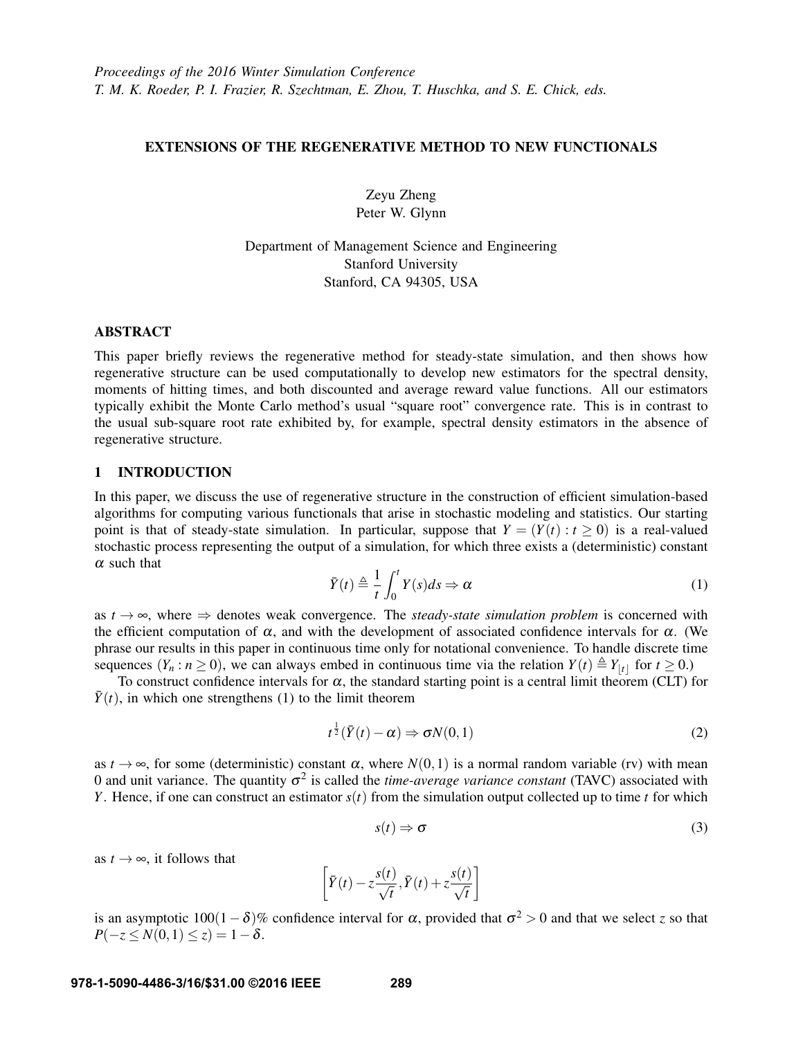# EXTENSIONS OF THE REGENERATIVE METHOD TO NEW FUNCTIONALS

Zeyu Zheng Peter W. Glynn

Department of Management Science and Engineering Stanford University Stanford, CA 94305, USA

# ABSTRACT

This paper briefly reviews the regenerative method for steady-state simulation, and then shows how regenerative structure can be used computationally to develop new estimators for the spectral density, moments of hitting times, and both discounted and average reward value functions. All our estimators typically exhibit the Monte Carlo method's usual "square root" convergence rate. This is in contrast to the usual sub-square root rate exhibited by, for example, spectral density estimators in the absence of regenerative structure.

## 1 INTRODUCTION

In this paper, we discuss the use of regenerative structure in the construction of efficient simulation-based algorithms for computing various functionals that arise in stochastic modeling and statistics. Our starting point is that of steady-state simulation. In particular, suppose that  $Y = (Y(t): t \ge 0)$  is a real-valued stochastic process representing the output of a simulation, for which three exists a (deterministic) constant  $\alpha$  such that

$$
\bar{Y}(t) \triangleq \frac{1}{t} \int_0^t Y(s)ds \Rightarrow \alpha \tag{1}
$$

as  $t \to \infty$ , where  $\Rightarrow$  denotes weak convergence. The *steady-state simulation problem* is concerned with the efficient computation of  $\alpha$ , and with the development of associated confidence intervals for  $\alpha$ . (We phrase our results in this paper in continuous time only for notational convenience. To handle discrete time sequences  $(Y_n : n \ge 0)$ , we can always embed in continuous time via the relation  $Y(t) \triangleq Y_{\lfloor t \rfloor}$  for  $t \ge 0$ .)

To construct confidence intervals for  $\alpha$ , the standard starting point is a central limit theorem (CLT) for  $\bar{Y}(t)$ , in which one strengthens (1) to the limit theorem

$$
t^{\frac{1}{2}}(\bar{Y}(t)-\alpha) \Rightarrow \sigma N(0,1)
$$
\n(2)

as  $t \to \infty$ , for some (deterministic) constant  $\alpha$ , where  $N(0,1)$  is a normal random variable (rv) with mean 0 and unit variance. The quantity  $\sigma^2$  is called the *time-average variance constant* (TAVC) associated with *Y*. Hence, if one can construct an estimator *s*(*t*) from the simulation output collected up to time *t* for which

$$
s(t) \Rightarrow \sigma \tag{3}
$$

as  $t \rightarrow \infty$ , it follows that

$$
\[ \bar{Y}(t) - z\frac{s(t)}{\sqrt{t}}, \bar{Y}(t) + z\frac{s(t)}{\sqrt{t}} \]
$$

is an asymptotic  $100(1-\delta)$ % confidence interval for  $\alpha$ , provided that  $\sigma^2 > 0$  and that we select *z* so that  $P(-z \le N(0,1) \le z) = 1-\delta.$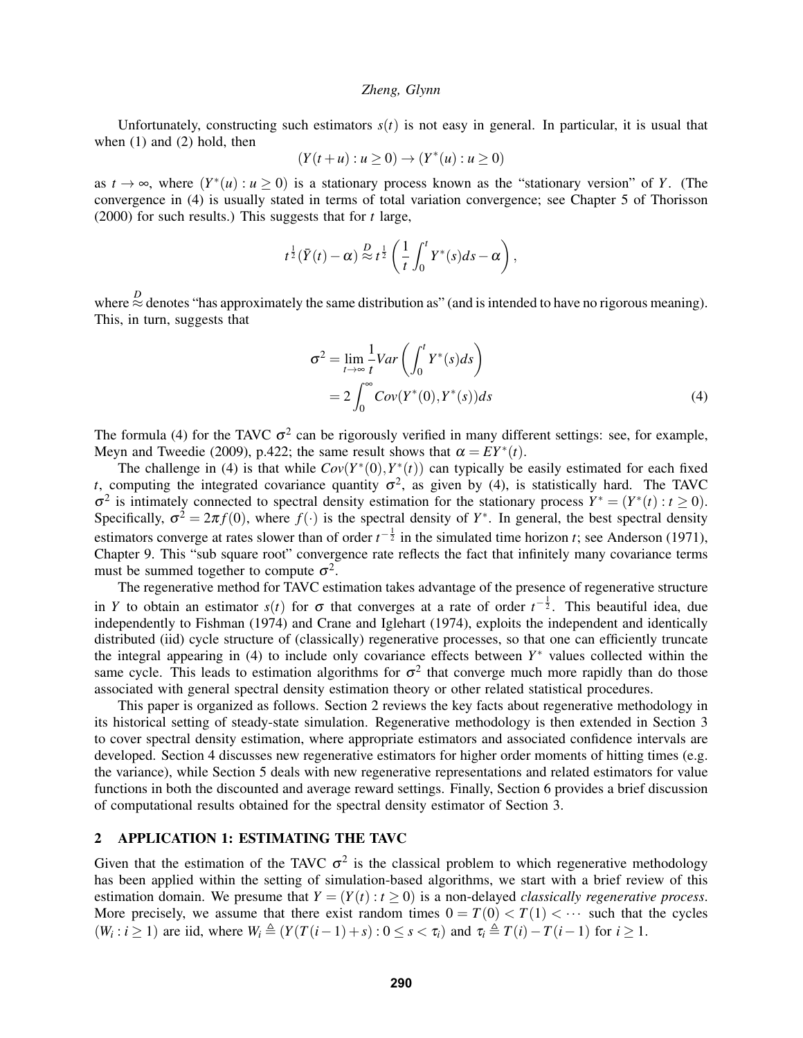Unfortunately, constructing such estimators  $s(t)$  is not easy in general. In particular, it is usual that when (1) and (2) hold, then

$$
(Y(t+u): u \ge 0) \to (Y^*(u): u \ge 0)
$$

as  $t \to \infty$ , where  $(Y^*(u) : u \ge 0)$  is a stationary process known as the "stationary version" of *Y*. (The convergence in (4) is usually stated in terms of total variation convergence; see Chapter 5 of Thorisson (2000) for such results.) This suggests that for *t* large,

$$
t^{\frac{1}{2}}(\bar{Y}(t)-\alpha) \stackrel{D}{\approx} t^{\frac{1}{2}}\left(\frac{1}{t}\int_0^t Y^*(s)ds-\alpha\right),
$$

where  $\stackrel{D}{\approx}$  denotes "has approximately the same distribution as" (and is intended to have no rigorous meaning). This, in turn, suggests that

$$
\sigma^2 = \lim_{t \to \infty} \frac{1}{t} \text{Var}\left(\int_0^t Y^*(s) ds\right)
$$
  
= 
$$
2 \int_0^\infty \text{Cov}(Y^*(0), Y^*(s)) ds
$$
 (4)

The formula (4) for the TAVC  $\sigma^2$  can be rigorously verified in many different settings: see, for example, Meyn and Tweedie (2009), p.422; the same result shows that  $\alpha = EY^*(t)$ .

The challenge in (4) is that while  $Cov(Y^*(0), Y^*(t))$  can typically be easily estimated for each fixed *t*, computing the integrated covariance quantity  $\sigma^2$ , as given by (4), is statistically hard. The TAVC  $\sigma^2$  is intimately connected to spectral density estimation for the stationary process  $Y^* = (Y^*(t) : t \ge 0)$ . Specifically,  $\sigma^2 = 2\pi f(0)$ , where  $f(\cdot)$  is the spectral density of  $Y^*$ . In general, the best spectral density estimators converge at rates slower than of order  $t^{-\frac{1}{2}}$  in the simulated time horizon *t*; see Anderson (1971), Chapter 9. This "sub square root" convergence rate reflects the fact that infinitely many covariance terms must be summed together to compute  $\sigma^2$ .

The regenerative method for TAVC estimation takes advantage of the presence of regenerative structure in *Y* to obtain an estimator  $s(t)$  for  $\sigma$  that converges at a rate of order  $t^{-\frac{1}{2}}$ . This beautiful idea, due independently to Fishman (1974) and Crane and Iglehart (1974), exploits the independent and identically distributed (iid) cycle structure of (classically) regenerative processes, so that one can efficiently truncate the integral appearing in (4) to include only covariance effects between *Y*<sup>∗</sup> values collected within the same cycle. This leads to estimation algorithms for  $\sigma^2$  that converge much more rapidly than do those associated with general spectral density estimation theory or other related statistical procedures.

This paper is organized as follows. Section 2 reviews the key facts about regenerative methodology in its historical setting of steady-state simulation. Regenerative methodology is then extended in Section 3 to cover spectral density estimation, where appropriate estimators and associated confidence intervals are developed. Section 4 discusses new regenerative estimators for higher order moments of hitting times (e.g. the variance), while Section 5 deals with new regenerative representations and related estimators for value functions in both the discounted and average reward settings. Finally, Section 6 provides a brief discussion of computational results obtained for the spectral density estimator of Section 3.

# 2 APPLICATION 1: ESTIMATING THE TAVC

Given that the estimation of the TAVC  $\sigma^2$  is the classical problem to which regenerative methodology has been applied within the setting of simulation-based algorithms, we start with a brief review of this estimation domain. We presume that  $Y = (Y(t) : t \ge 0)$  is a non-delayed *classically regenerative process*. More precisely, we assume that there exist random times  $0 = T(0) < T(1) < \cdots$  such that the cycles  $(W_i : i \geq 1)$  are iid, where  $W_i \triangleq (Y(T(i-1) + s) : 0 \leq s < \tau_i)$  and  $\tau_i \triangleq T(i) - T(i-1)$  for  $i \geq 1$ .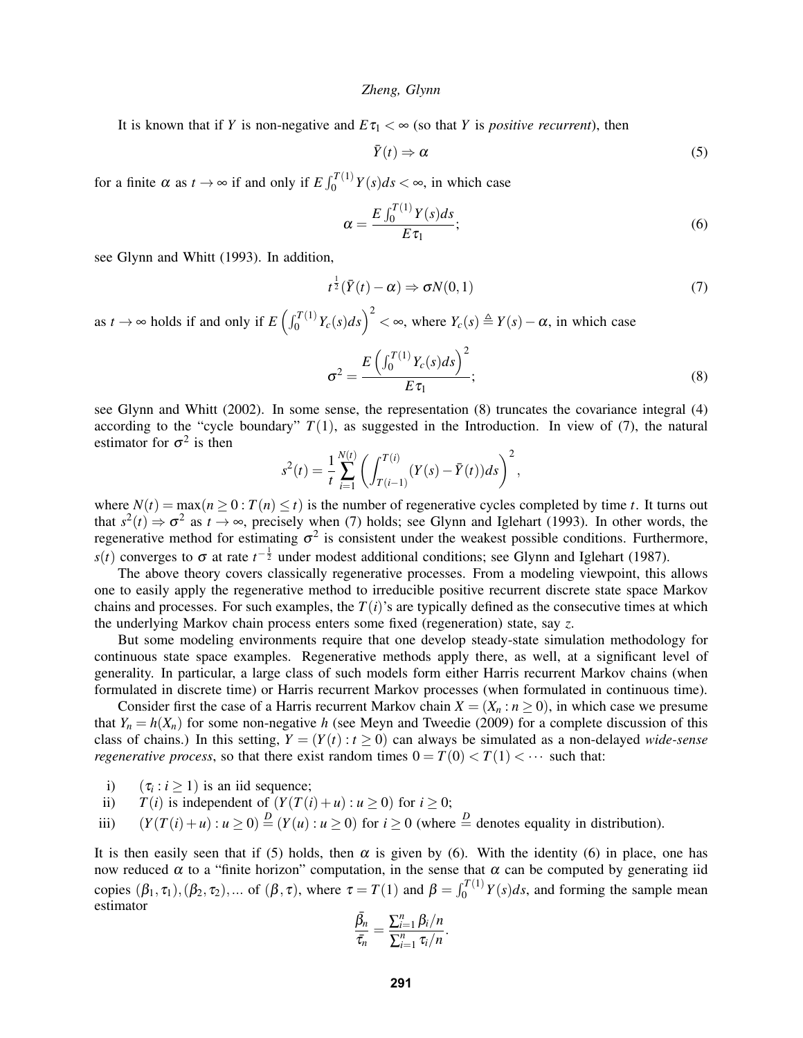It is known that if *Y* is non-negative and  $E\tau_1 < \infty$  (so that *Y* is *positive recurrent*), then

$$
\bar{Y}(t) \Rightarrow \alpha \tag{5}
$$

for a finite  $\alpha$  as  $t \to \infty$  if and only if  $E \int_0^{T(1)} Y(s) ds < \infty$ , in which case

$$
\alpha = \frac{E \int_0^{T(1)} Y(s) ds}{E \tau_1};\tag{6}
$$

see Glynn and Whitt (1993). In addition,

$$
t^{\frac{1}{2}}(\bar{Y}(t)-\alpha) \Rightarrow \sigma N(0,1)
$$
\n(7)

as  $t \to \infty$  holds if and only if  $E\left(\int_0^{T(1)} Y_c(s) ds\right)^2 < \infty$ , where  $Y_c(s) \triangleq Y(s) - \alpha$ , in which case

$$
\sigma^2 = \frac{E\left(\int_0^{T(1)} Y_c(s)ds\right)^2}{E\,\tau_1};\tag{8}
$$

see Glynn and Whitt (2002). In some sense, the representation (8) truncates the covariance integral (4) according to the "cycle boundary"  $T(1)$ , as suggested in the Introduction. In view of (7), the natural estimator for  $\sigma^2$  is then

$$
s^{2}(t) = \frac{1}{t} \sum_{i=1}^{N(t)} \left( \int_{T(i-1)}^{T(i)} (Y(s) - \bar{Y}(t)) ds \right)^{2},
$$

where  $N(t) = \max(n \ge 0 : T(n) \le t)$  is the number of regenerative cycles completed by time *t*. It turns out that  $s^2(t) \Rightarrow \sigma^2$  as  $t \to \infty$ , precisely when (7) holds; see Glynn and Iglehart (1993). In other words, the regenerative method for estimating  $\sigma^2$  is consistent under the weakest possible conditions. Furthermore,  $s(t)$  converges to  $\sigma$  at rate  $t^{-\frac{1}{2}}$  under modest additional conditions; see Glynn and Iglehart (1987).

The above theory covers classically regenerative processes. From a modeling viewpoint, this allows one to easily apply the regenerative method to irreducible positive recurrent discrete state space Markov chains and processes. For such examples, the  $T(i)$ 's are typically defined as the consecutive times at which the underlying Markov chain process enters some fixed (regeneration) state, say *z*.

But some modeling environments require that one develop steady-state simulation methodology for continuous state space examples. Regenerative methods apply there, as well, at a significant level of generality. In particular, a large class of such models form either Harris recurrent Markov chains (when formulated in discrete time) or Harris recurrent Markov processes (when formulated in continuous time).

Consider first the case of a Harris recurrent Markov chain  $X = (X_n : n \ge 0)$ , in which case we presume that  $Y_n = h(X_n)$  for some non-negative *h* (see Meyn and Tweedie (2009) for a complete discussion of this class of chains.) In this setting,  $Y = (Y(t) : t \ge 0)$  can always be simulated as a non-delayed *wide-sense regenerative process*, so that there exist random times  $0 = T(0) < T(1) < \cdots$  such that:

i)  $(\tau_i : i \geq 1)$  is an iid sequence;

ii) 
$$
T(i)
$$
 is independent of  $(Y(T(i) + u) : u \ge 0)$  for  $i \ge 0$ ;

iii)  $(Y(T(i) + u) : u \ge 0) \stackrel{D}{=} (Y(u) : u \ge 0)$  for  $i \ge 0$  (where  $\stackrel{D}{=}$  denotes equality in distribution).

It is then easily seen that if (5) holds, then  $\alpha$  is given by (6). With the identity (6) in place, one has now reduced  $\alpha$  to a "finite horizon" computation, in the sense that  $\alpha$  can be computed by generating iid copies  $(\beta_1, \tau_1), (\beta_2, \tau_2), \dots$  of  $(\beta, \tau)$ , where  $\tau = T(1)$  and  $\beta = \int_0^{T(1)} Y(s) ds$ , and forming the sample mean estimator

$$
\frac{\bar{\beta_n}}{\bar{\tau}_n} = \frac{\sum_{i=1}^n \beta_i / n}{\sum_{i=1}^n \tau_i / n}.
$$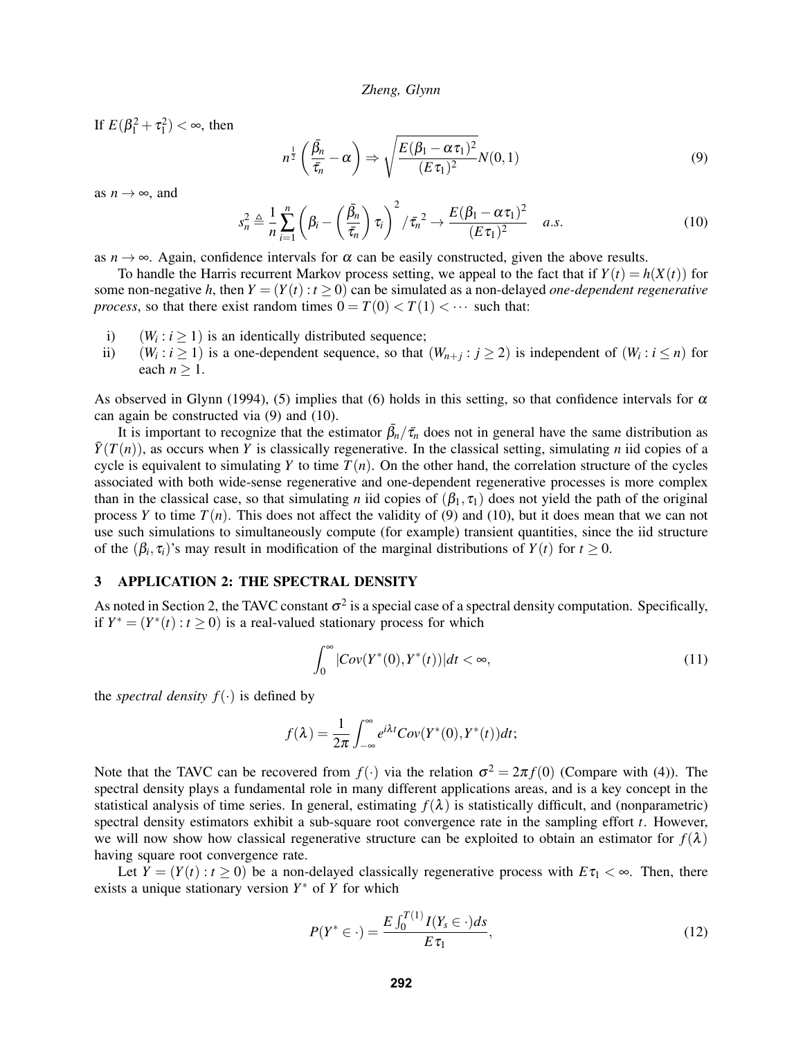If  $E(\beta_1^2 + \tau_1^2) < \infty$ , then

$$
n^{\frac{1}{2}}\left(\frac{\bar{\beta}_n}{\bar{\tau}_n}-\alpha\right) \Rightarrow \sqrt{\frac{E(\beta_1-\alpha\tau_1)^2}{(E\tau_1)^2}}N(0,1) \tag{9}
$$

as  $n \rightarrow \infty$ , and

$$
s_n^2 \triangleq \frac{1}{n} \sum_{i=1}^n \left( \beta_i - \left( \frac{\bar{\beta}_n}{\bar{\tau}_n} \right) \tau_i \right)^2 / \bar{\tau}_n^2 \to \frac{E(\beta_1 - \alpha \tau_1)^2}{(E \tau_1)^2} \quad a.s.
$$
 (10)

as  $n \to \infty$ . Again, confidence intervals for  $\alpha$  can be easily constructed, given the above results.

To handle the Harris recurrent Markov process setting, we appeal to the fact that if  $Y(t) = h(X(t))$  for some non-negative *h*, then  $Y = (Y(t): t > 0)$  can be simulated as a non-delayed *one-dependent regenerative process*, so that there exist random times  $0 = T(0) < T(1) < \cdots$  such that:

- i)  $(W_i : i \geq 1)$  is an identically distributed sequence;
- ii)  $(W_i : i \geq 1)$  is a one-dependent sequence, so that  $(W_{n+j} : j \geq 2)$  is independent of  $(W_i : i \leq n)$  for each  $n \geq 1$ .

As observed in Glynn (1994), (5) implies that (6) holds in this setting, so that confidence intervals for  $\alpha$ can again be constructed via (9) and (10).

It is important to recognize that the estimator  $\bar{\beta}_n/\bar{\tau}_n$  does not in general have the same distribution as  $\bar{Y}(T(n))$ , as occurs when *Y* is classically regenerative. In the classical setting, simulating *n* iid copies of a cycle is equivalent to simulating *Y* to time  $T(n)$ . On the other hand, the correlation structure of the cycles associated with both wide-sense regenerative and one-dependent regenerative processes is more complex than in the classical case, so that simulating *n* iid copies of  $(\beta_1, \tau_1)$  does not yield the path of the original process *Y* to time  $T(n)$ . This does not affect the validity of (9) and (10), but it does mean that we can not use such simulations to simultaneously compute (for example) transient quantities, since the iid structure of the  $(\beta_i, \tau_i)$ 's may result in modification of the marginal distributions of  $Y(t)$  for  $t \ge 0$ .

## 3 APPLICATION 2: THE SPECTRAL DENSITY

As noted in Section 2, the TAVC constant  $\sigma^2$  is a special case of a spectral density computation. Specifically, if  $Y^* = (Y^*(t) : t \ge 0)$  is a real-valued stationary process for which

$$
\int_0^\infty |Cov(Y^*(0), Y^*(t))|dt < \infty,\tag{11}
$$

the *spectral density*  $f(\cdot)$  is defined by

$$
f(\lambda) = \frac{1}{2\pi} \int_{-\infty}^{\infty} e^{i\lambda t} Cov(Y^*(0), Y^*(t)) dt;
$$

Note that the TAVC can be recovered from  $f(\cdot)$  via the relation  $\sigma^2 = 2\pi f(0)$  (Compare with (4)). The spectral density plays a fundamental role in many different applications areas, and is a key concept in the statistical analysis of time series. In general, estimating  $f(\lambda)$  is statistically difficult, and (nonparametric) spectral density estimators exhibit a sub-square root convergence rate in the sampling effort *t*. However, we will now show how classical regenerative structure can be exploited to obtain an estimator for  $f(\lambda)$ having square root convergence rate.

Let  $Y = (Y(t) : t \ge 0)$  be a non-delayed classically regenerative process with  $E\tau_1 < \infty$ . Then, there exists a unique stationary version  $Y^*$  of  $Y$  for which

$$
P(Y^* \in \cdot) = \frac{E \int_0^{T(1)} I(Y_s \in \cdot) ds}{E \tau_1},
$$
\n(12)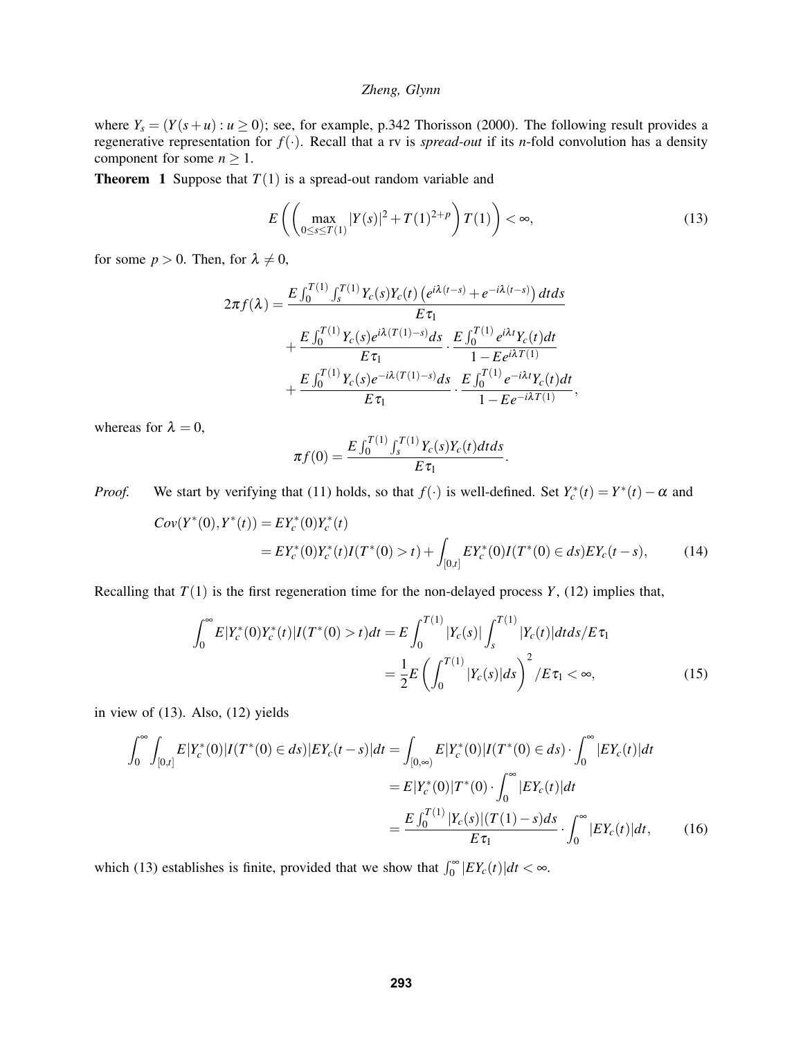where  $Y_s = (Y(s+u): u \ge 0)$ ; see, for example, p.342 Thorisson (2000). The following result provides a regenerative representation for *f*(·). Recall that a rv is *spread-out* if its *n*-fold convolution has a density component for some  $n \geq 1$ .

**Theorem 1** Suppose that  $T(1)$  is a spread-out random variable and

$$
E\left(\left(\max_{0\leq s\leq T(1)}|Y(s)|^2+T(1)^{2+p}\right)T(1)\right)<\infty,\tag{13}
$$

for some  $p > 0$ . Then, for  $\lambda \neq 0$ ,

$$
2\pi f(\lambda) = \frac{E \int_0^{T(1)} \int_s^{T(1)} Y_c(s) Y_c(t) \left(e^{i\lambda(t-s)} + e^{-i\lambda(t-s)}\right) dt ds}{E \tau_1} + \frac{E \int_0^{T(1)} Y_c(s) e^{i\lambda(T(1)-s)} ds}{E \tau_1} \cdot \frac{E \int_0^{T(1)} e^{i\lambda t} Y_c(t) dt}{1 - E e^{i\lambda T(1)}} + \frac{E \int_0^{T(1)} Y_c(s) e^{-i\lambda(T(1)-s)} ds}{E \tau_1} \cdot \frac{E \int_0^{T(1)} e^{-i\lambda t} Y_c(t) dt}{1 - E e^{-i\lambda T(1)}},
$$

whereas for  $\lambda = 0$ ,

$$
\pi f(0) = \frac{E \int_0^{T(1)} \int_s^{T(1)} Y_c(s) Y_c(t) dt ds}{E \tau_1}.
$$

*Proof.* We start by verifying that (11) holds, so that  $f(\cdot)$  is well-defined. Set  $Y_c^*(t) = Y^*(t) - \alpha$  and

$$
Cov(Y^*(0), Y^*(t)) = EY_c^*(0)Y_c^*(t)
$$
  
=  $EY_c^*(0)Y_c^*(t)I(T^*(0) > t) + \int_{[0,t]} EY_c^*(0)I(T^*(0) \in ds)EY_c(t-s),$  (14)

Recalling that  $T(1)$  is the first regeneration time for the non-delayed process  $Y$ ,  $(12)$  implies that,

$$
\int_0^{\infty} E|Y_c^*(0)Y_c^*(t)|I(T^*(0) > t)dt = E \int_0^{T(1)} |Y_c(s)| \int_s^{T(1)} |Y_c(t)|dt ds/E\tau_1
$$
  
= 
$$
\frac{1}{2}E\left(\int_0^{T(1)} |Y_c(s)|ds\right)^2/E\tau_1 < \infty,
$$
 (15)

in view of (13). Also, (12) yields

$$
\int_0^\infty \int_{[0,t]} E|Y_c^*(0)|I(T^*(0) \in ds)|EY_c(t-s)|dt = \int_{[0,\infty)} E|Y_c^*(0)|I(T^*(0) \in ds) \cdot \int_0^\infty |EY_c(t)|dt
$$
  

$$
= E|Y_c^*(0)|T^*(0) \cdot \int_0^\infty |EY_c(t)|dt
$$
  

$$
= \frac{E\int_0^{T(1)} |Y_c(s)|(T(1) - s)ds}{E\tau_1} \cdot \int_0^\infty |EY_c(t)|dt, \qquad (16)
$$

which (13) establishes is finite, provided that we show that  $\int_0^\infty |EY_c(t)|dt < \infty$ .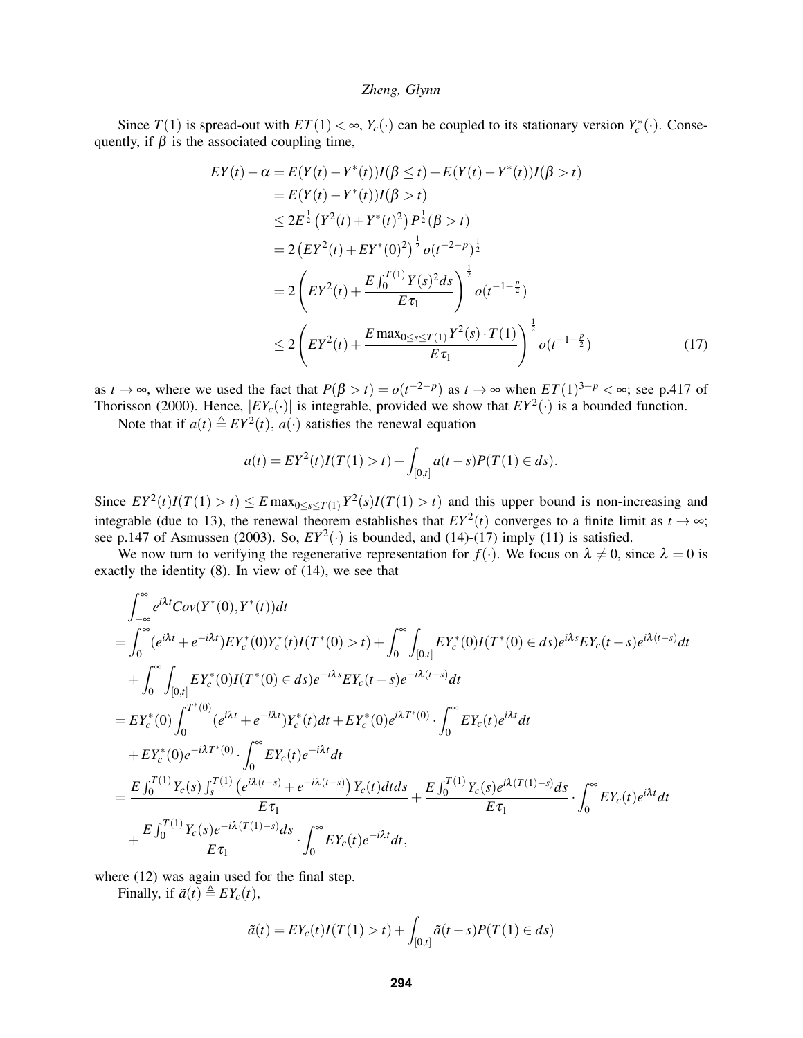Since  $T(1)$  is spread-out with  $ET(1) < \infty$ ,  $Y_c(\cdot)$  can be coupled to its stationary version  $Y_c^*(\cdot)$ . Consequently, if  $\beta$  is the associated coupling time,

$$
EY(t) - \alpha = E(Y(t) - Y^*(t))I(\beta \le t) + E(Y(t) - Y^*(t))I(\beta > t)
$$
  
\n
$$
= E(Y(t) - Y^*(t))I(\beta > t)
$$
  
\n
$$
\le 2E^{\frac{1}{2}} (Y^2(t) + Y^*(t)^2) P^{\frac{1}{2}}(\beta > t)
$$
  
\n
$$
= 2(EY^2(t) + EY^*(0)^2)^{\frac{1}{2}} o(t^{-2-p})^{\frac{1}{2}}
$$
  
\n
$$
= 2(EY^2(t) + \frac{E\int_0^{T(1)}Y(s)^2ds}{E\tau_1}\Big)^{\frac{1}{2}} o(t^{-1-\frac{p}{2}})
$$
  
\n
$$
\le 2(EY^2(t) + \frac{E \max_{0 \le s \le T(1)} Y^2(s) \cdot T(1)}{E\tau_1}\Big)^{\frac{1}{2}} o(t^{-1-\frac{p}{2}})
$$
\n(17)

as  $t \to \infty$ , where we used the fact that  $P(\beta > t) = o(t^{-2-p})$  as  $t \to \infty$  when  $ET(1)^{3+p} < \infty$ ; see p.417 of Thorisson (2000). Hence,  $|EY_c(\cdot)|$  is integrable, provided we show that  $EY^2(\cdot)$  is a bounded function.

Note that if  $a(t) \triangleq EY^2(t)$ ,  $a(\cdot)$  satisfies the renewal equation

$$
a(t) = EY^{2}(t)I(T(1) > t) + \int_{[0,t]} a(t - s)P(T(1) \in ds).
$$

Since  $EY^2(t)I(T(1) > t) \le E \max_{0 \le s \le T(1)} Y^2(s)I(T(1) > t)$  and this upper bound is non-increasing and integrable (due to 13), the renewal theorem establishes that  $EY^2(t)$  converges to a finite limit as  $t \to \infty$ ; see p.147 of Asmussen (2003). So,  $EY^2(\cdot)$  is bounded, and (14)-(17) imply (11) is satisfied.

We now turn to verifying the regenerative representation for  $f(\cdot)$ . We focus on  $\lambda \neq 0$ , since  $\lambda = 0$  is exactly the identity (8). In view of (14), we see that

$$
\int_{-\infty}^{\infty} e^{i\lambda t}Cov(Y^{*}(0), Y^{*}(t))dt \n= \int_{0}^{\infty} (e^{i\lambda t} + e^{-i\lambda t}) EY_{c}^{*}(0)Y_{c}^{*}(t)I(T^{*}(0) > t) + \int_{0}^{\infty} \int_{[0,t]} EY_{c}^{*}(0)I(T^{*}(0) \in ds)e^{i\lambda s}EY_{c}(t-s)e^{i\lambda(t-s)}dt \n+ \int_{0}^{\infty} \int_{[0,t]} EY_{c}^{*}(0)I(T^{*}(0) \in ds)e^{-i\lambda s}EY_{c}(t-s)e^{-i\lambda(t-s)}dt \n= EY_{c}^{*}(0) \int_{0}^{T^{*}(0)} (e^{i\lambda t} + e^{-i\lambda t})Y_{c}^{*}(t)dt + EY_{c}^{*}(0)e^{i\lambda T^{*}(0)} \cdot \int_{0}^{\infty} EY_{c}(t)e^{i\lambda t}dt \n+ EY_{c}^{*}(0)e^{-i\lambda T^{*}(0)} \cdot \int_{0}^{\infty} EY_{c}(t)e^{-i\lambda t}dt \n= \frac{E \int_{0}^{T^{(1)}} Y_{c}(s) \int_{s}^{T^{(1)}} (e^{i\lambda(t-s)} + e^{-i\lambda(t-s)}) Y_{c}(t)dt ds}{E\tau_{1}} + \frac{E \int_{0}^{T^{(1)}} Y_{c}(s)e^{i\lambda(T(1)-s)}ds}{E\tau_{1}} \cdot \int_{0}^{\infty} EY_{c}(t)e^{i\lambda t}dt \n+ \frac{E \int_{0}^{T^{(1)}} Y_{c}(s)e^{-i\lambda(T(1)-s)}ds}{E\tau_{1}} \cdot \int_{0}^{\infty} EY_{c}(t)e^{-i\lambda t}dt,
$$

where  $(12)$  was again used for the final step.

Finally, if  $\tilde{a}(t) \triangleq EY_c(t)$ ,

$$
\tilde{a}(t) = EY_c(t)I(T(1) > t) + \int_{[0,t]} \tilde{a}(t-s)P(T(1) \in ds)
$$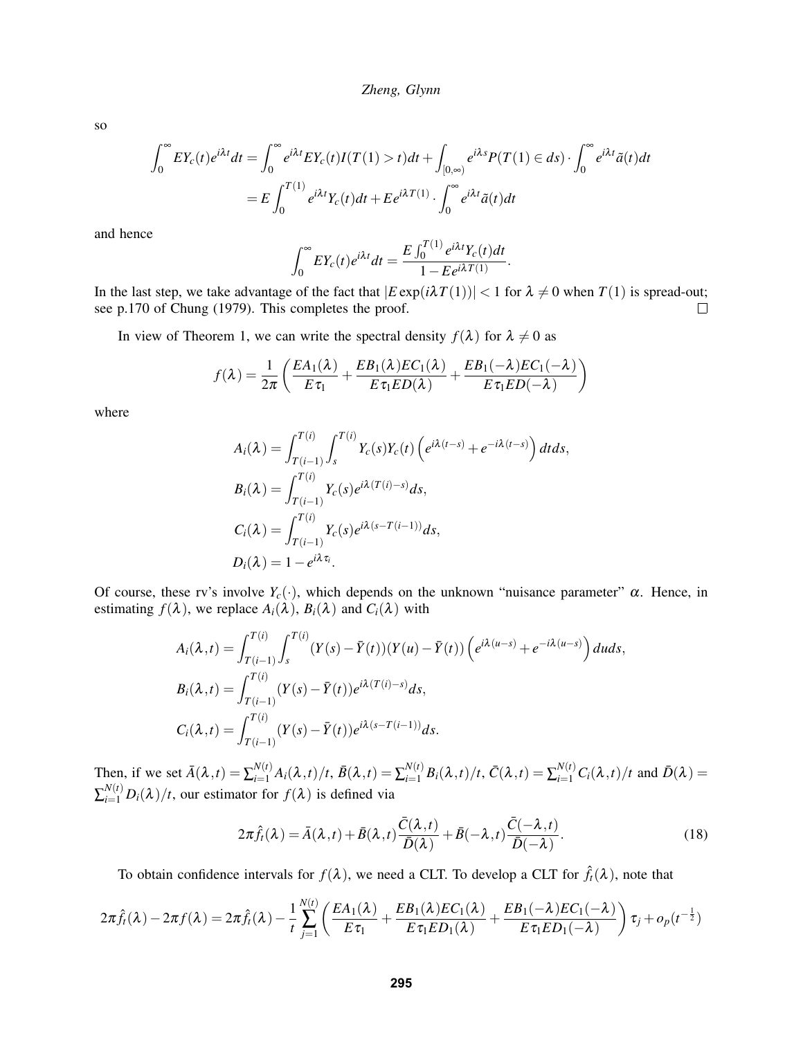so

$$
\int_0^{\infty} EY_c(t)e^{i\lambda t}dt = \int_0^{\infty} e^{i\lambda t} EY_c(t)I(T(1) > t)dt + \int_{[0,\infty)} e^{i\lambda s}P(T(1) \in ds) \cdot \int_0^{\infty} e^{i\lambda t} \tilde{a}(t)dt
$$

$$
= E \int_0^{T(1)} e^{i\lambda t} Y_c(t)dt + E e^{i\lambda T(1)} \cdot \int_0^{\infty} e^{i\lambda t} \tilde{a}(t)dt
$$

and hence

$$
\int_0^\infty EY_c(t)e^{i\lambda t}dt = \frac{E\int_0^{T(1)}e^{i\lambda t}Y_c(t)dt}{1 - E e^{i\lambda T(1)}}.
$$

In the last step, we take advantage of the fact that  $|E \exp(i\lambda T(1))| < 1$  for  $\lambda \neq 0$  when  $T(1)$  is spread-out; see p.170 of Chung (1979). This completes the proof.  $\Box$ 

In view of Theorem 1, we can write the spectral density  $f(\lambda)$  for  $\lambda \neq 0$  as

$$
f(\lambda) = \frac{1}{2\pi} \left( \frac{EA_1(\lambda)}{E \tau_1} + \frac{EB_1(\lambda)EC_1(\lambda)}{E \tau_1 ED(\lambda)} + \frac{EB_1(-\lambda)EC_1(-\lambda)}{E \tau_1 ED(-\lambda)} \right)
$$

where

$$
A_i(\lambda) = \int_{T(i-1)}^{T(i)} \int_s^{T(i)} Y_c(s) Y_c(t) \left(e^{i\lambda(t-s)} + e^{-i\lambda(t-s)}\right) dt ds,
$$
  
\n
$$
B_i(\lambda) = \int_{T(i-1)}^{T(i)} Y_c(s) e^{i\lambda(T(i)-s)} ds,
$$
  
\n
$$
C_i(\lambda) = \int_{T(i-1)}^{T(i)} Y_c(s) e^{i\lambda(s-T(i-1))} ds,
$$
  
\n
$$
D_i(\lambda) = 1 - e^{i\lambda \tau_i}.
$$

Of course, these rv's involve  $Y_c(\cdot)$ , which depends on the unknown "nuisance parameter"  $\alpha$ . Hence, in estimating  $f(\lambda)$ , we replace  $A_i(\lambda)$ ,  $B_i(\lambda)$  and  $C_i(\lambda)$  with

$$
A_i(\lambda, t) = \int_{T(i-1)}^{T(i)} \int_s^{T(i)} (Y(s) - \bar{Y}(t))(Y(u) - \bar{Y}(t)) \left(e^{i\lambda(u-s)} + e^{-i\lambda(u-s)}\right) du ds,
$$
  
\n
$$
B_i(\lambda, t) = \int_{T(i-1)}^{T(i)} (Y(s) - \bar{Y}(t)) e^{i\lambda(T(i)-s)} ds,
$$
  
\n
$$
C_i(\lambda, t) = \int_{T(i-1)}^{T(i)} (Y(s) - \bar{Y}(t)) e^{i\lambda(s - T(i-1))} ds.
$$

Then, if we set  $\bar{A}(\lambda, t) = \sum_{i=1}^{N(t)} A_i(\lambda, t) / t$ ,  $\bar{B}(\lambda, t) = \sum_{i=1}^{N(t)} B_i(\lambda, t) / t$ ,  $\bar{C}(\lambda, t) = \sum_{i=1}^{N(t)} C_i(\lambda, t) / t$  and  $\bar{D}(\lambda) =$  $\sum_{i=1}^{N(t)} D_i(\lambda)/t$ , our estimator for  $f(\lambda)$  is defined via

$$
2\pi \hat{f}_t(\lambda) = \bar{A}(\lambda, t) + \bar{B}(\lambda, t) \frac{\bar{C}(\lambda, t)}{\bar{D}(\lambda)} + \bar{B}(-\lambda, t) \frac{\bar{C}(-\lambda, t)}{\bar{D}(-\lambda)}.
$$
\n(18)

To obtain confidence intervals for  $f(\lambda)$ , we need a CLT. To develop a CLT for  $\hat{f}_t(\lambda)$ , note that

$$
2\pi \hat{f}_t(\lambda)-2\pi f(\lambda)=2\pi \hat{f}_t(\lambda)-\frac{1}{t}\sum_{j=1}^{N(t)}\left(\frac{EA_1(\lambda)}{E\tau_1}+\frac{EB_1(\lambda)EC_1(\lambda)}{E\tau_1 ED_1(\lambda)}+\frac{EB_1(-\lambda)EC_1(-\lambda)}{E\tau_1 ED_1(-\lambda)}\right)\tau_j+o_p(t^{-\frac{1}{2}})
$$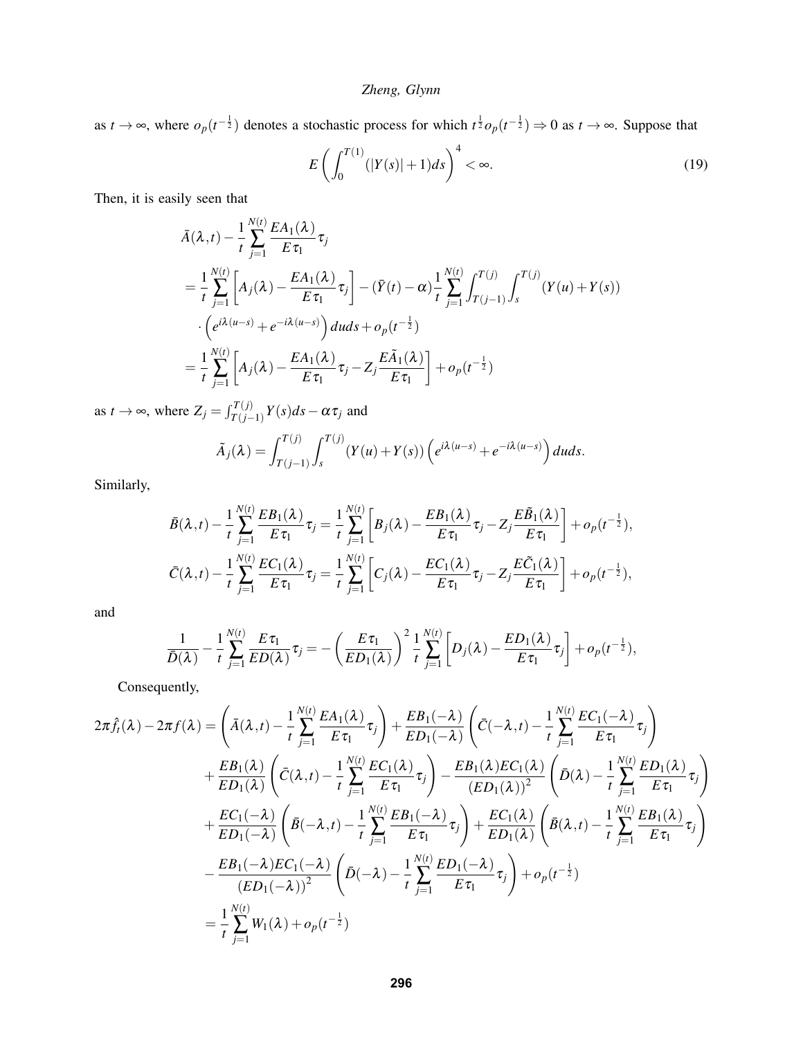as  $t \to \infty$ , where  $o_p(t^{-\frac{1}{2}})$  denotes a stochastic process for which  $t^{\frac{1}{2}}o_p(t^{-\frac{1}{2}}) \to 0$  as  $t \to \infty$ . Suppose that

$$
E\left(\int_{0}^{T(1)} (|Y(s)|+1)ds\right)^{4} < \infty.
$$
 (19)

Then, it is easily seen that

$$
\bar{A}(\lambda, t) - \frac{1}{t} \sum_{j=1}^{N(t)} \frac{EA_1(\lambda)}{E \tau_1} \tau_j
$$
\n
$$
= \frac{1}{t} \sum_{j=1}^{N(t)} \left[ A_j(\lambda) - \frac{EA_1(\lambda)}{E \tau_1} \tau_j \right] - (\bar{Y}(t) - \alpha) \frac{1}{t} \sum_{j=1}^{N(t)} \int_{T(j-1)}^{T(j)} \int_s^{T(j)} (Y(u) + Y(s))
$$
\n
$$
\cdot \left( e^{i\lambda(u-s)} + e^{-i\lambda(u-s)} \right) du ds + o_p(t^{-\frac{1}{2}})
$$
\n
$$
= \frac{1}{t} \sum_{j=1}^{N(t)} \left[ A_j(\lambda) - \frac{EA_1(\lambda)}{E \tau_1} \tau_j - Z_j \frac{E \tilde{A}_1(\lambda)}{E \tau_1} \right] + o_p(t^{-\frac{1}{2}})
$$

as  $t \to \infty$ , where  $Z_j = \int_{T(j-1)}^{T(j)} Y(s) ds - \alpha \tau_j$  and

$$
\tilde{A}_j(\lambda) = \int_{T(j-1)}^{T(j)} \int_s^{T(j)} (Y(u) + Y(s)) \left( e^{i\lambda(u-s)} + e^{-i\lambda(u-s)} \right) du ds.
$$

Similarly,

$$
\bar{B}(\lambda,t) - \frac{1}{t} \sum_{j=1}^{N(t)} \frac{EB_1(\lambda)}{E \tau_1} \tau_j = \frac{1}{t} \sum_{j=1}^{N(t)} \left[ B_j(\lambda) - \frac{EB_1(\lambda)}{E \tau_1} \tau_j - Z_j \frac{E \tilde{B}_1(\lambda)}{E \tau_1} \right] + o_p(t^{-\frac{1}{2}}),
$$
\n
$$
\bar{C}(\lambda,t) - \frac{1}{t} \sum_{j=1}^{N(t)} \frac{EC_1(\lambda)}{E \tau_1} \tau_j = \frac{1}{t} \sum_{j=1}^{N(t)} \left[ C_j(\lambda) - \frac{EC_1(\lambda)}{E \tau_1} \tau_j - Z_j \frac{E \tilde{C}_1(\lambda)}{E \tau_1} \right] + o_p(t^{-\frac{1}{2}}),
$$

and

$$
\frac{1}{\bar{D}(\lambda)} - \frac{1}{t} \sum_{j=1}^{N(t)} \frac{E \tau_1}{ED(\lambda)} \tau_j = -\left(\frac{E \tau_1}{ED_1(\lambda)}\right)^2 \frac{1}{t} \sum_{j=1}^{N(t)} \left[D_j(\lambda) - \frac{ED_1(\lambda)}{E \tau_1} \tau_j\right] + o_p(t^{-\frac{1}{2}}),
$$

Consequently,

$$
2\pi \hat{f}_t(\lambda) - 2\pi f(\lambda) = \left(\bar{A}(\lambda, t) - \frac{1}{t} \sum_{j=1}^{N(t)} \frac{EA_1(\lambda)}{E\tau_1} \tau_j\right) + \frac{EB_1(-\lambda)}{ED_1(-\lambda)} \left(\bar{C}(-\lambda, t) - \frac{1}{t} \sum_{j=1}^{N(t)} \frac{EC_1(-\lambda)}{E\tau_1} \tau_j\right)
$$
  
+ 
$$
\frac{EB_1(\lambda)}{ED_1(\lambda)} \left(\bar{C}(\lambda, t) - \frac{1}{t} \sum_{j=1}^{N(t)} \frac{EC_1(\lambda)}{E\tau_1} \tau_j\right) - \frac{EB_1(\lambda)EC_1(\lambda)}{(ED_1(\lambda))^2} \left(\bar{D}(\lambda) - \frac{1}{t} \sum_{j=1}^{N(t)} \frac{ED_1(\lambda)}{E\tau_1} \tau_j\right)
$$
  
+ 
$$
\frac{EC_1(-\lambda)}{ED_1(-\lambda)} \left(\bar{B}(-\lambda, t) - \frac{1}{t} \sum_{j=1}^{N(t)} \frac{EB_1(-\lambda)}{E\tau_1} \tau_j\right) + \frac{EC_1(\lambda)}{ED_1(\lambda)} \left(\bar{B}(\lambda, t) - \frac{1}{t} \sum_{j=1}^{N(t)} \frac{EB_1(\lambda)}{E\tau_1} \tau_j\right)
$$
  
- 
$$
\frac{EB_1(-\lambda)EC_1(-\lambda)}{(ED_1(-\lambda))^2} \left(\bar{D}(-\lambda) - \frac{1}{t} \sum_{j=1}^{N(t)} \frac{ED_1(-\lambda)}{E\tau_1} \tau_j\right) + o_p(t^{-\frac{1}{2}})
$$
  
= 
$$
\frac{1}{t} \sum_{j=1}^{N(t)} W_1(\lambda) + o_p(t^{-\frac{1}{2}})
$$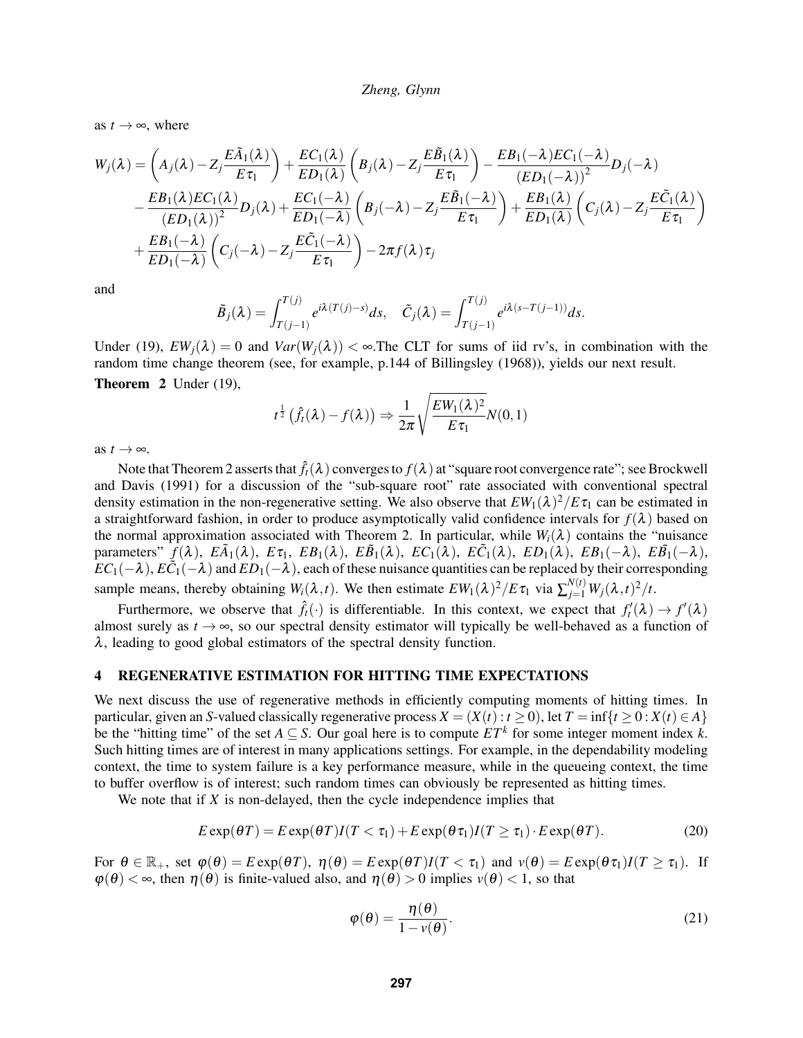as  $t \rightarrow \infty$ , where

$$
W_j(\lambda) = \left(A_j(\lambda) - Z_j \frac{E \tilde{A}_1(\lambda)}{E \tau_1}\right) + \frac{EC_1(\lambda)}{ED_1(\lambda)} \left(B_j(\lambda) - Z_j \frac{E \tilde{B}_1(\lambda)}{E \tau_1}\right) - \frac{EB_1(-\lambda)EC_1(-\lambda)}{(ED_1(-\lambda))^2} D_j(-\lambda)
$$
  
 
$$
- \frac{EB_1(\lambda)EC_1(\lambda)}{(ED_1(\lambda))^2} D_j(\lambda) + \frac{EC_1(-\lambda)}{ED_1(-\lambda)} \left(B_j(-\lambda) - Z_j \frac{E \tilde{B}_1(-\lambda)}{E \tau_1}\right) + \frac{EB_1(\lambda)}{ED_1(\lambda)} \left(C_j(\lambda) - Z_j \frac{E \tilde{C}_1(\lambda)}{E \tau_1}\right)
$$
  
 
$$
+ \frac{EB_1(-\lambda)}{ED_1(-\lambda)} \left(C_j(-\lambda) - Z_j \frac{E \tilde{C}_1(-\lambda)}{E \tau_1}\right) - 2\pi f(\lambda) \tau_j
$$

and

$$
\tilde{B}_j(\lambda) = \int_{T(j-1)}^{T(j)} e^{i\lambda(T(j)-s)} ds, \quad \tilde{C}_j(\lambda) = \int_{T(j-1)}^{T(j)} e^{i\lambda(s-T(j-1))} ds.
$$

Under (19),  $EW_i(\lambda) = 0$  and  $Var(W_i(\lambda)) < \infty$ . The CLT for sums of iid rv's, in combination with the random time change theorem (see, for example, p.144 of Billingsley (1968)), yields our next result. Theorem 2 Under (19),

$$
t^{\frac{1}{2}}\left(\hat{f}_{t}(\lambda)-f(\lambda)\right) \Rightarrow \frac{1}{2\pi}\sqrt{\frac{EW_{1}(\lambda)^{2}}{E\tau_{1}}}N(0,1)
$$

as  $t \rightarrow \infty$ .

Note that Theorem 2 asserts that  $\hat{f}_t(\lambda)$  converges to  $f(\lambda)$  at "square root convergence rate"; see Brockwell and Davis (1991) for a discussion of the "sub-square root" rate associated with conventional spectral density estimation in the non-regenerative setting. We also observe that  $EW_1(\lambda)^2/E\tau_1$  can be estimated in a straightforward fashion, in order to produce asymptotically valid confidence intervals for  $f(\lambda)$  based on the normal approximation associated with Theorem 2. In particular, while  $W_i(\lambda)$  contains the "nuisance" parameters"  $\tilde{f}(\lambda)$ ,  $E\tilde{A}_1(\lambda)$ ,  $E\tau_1$ ,  $EB_1(\lambda)$ ,  $E\tilde{B}_1(\lambda)$ ,  $EC_1(\lambda)$ ,  $E\tilde{C}_1(\lambda)$ ,  $ED_1(\lambda)$ ,  $EB_1(-\lambda)$ ,  $E\tilde{B}_1(-\lambda)$ ,  $EC_1(-\lambda)$ ,  $E\check{C}_1(-\lambda)$  and  $ED_1(-\lambda)$ , each of these nuisance quantities can be replaced by their corresponding sample means, thereby obtaining  $W_i(\lambda, t)$ . We then estimate  $EW_1(\lambda)^2 / E \tau_1$  via  $\sum_{j=1}^{N(t)} W_j(\lambda, t)^2 / t$ .

Furthermore, we observe that  $\hat{f}_t(\cdot)$  is differentiable. In this context, we expect that  $f'_t(\lambda) \to f'(\lambda)$ almost surely as  $t \to \infty$ , so our spectral density estimator will typically be well-behaved as a function of  $\lambda$ , leading to good global estimators of the spectral density function.

# 4 REGENERATIVE ESTIMATION FOR HITTING TIME EXPECTATIONS

We next discuss the use of regenerative methods in efficiently computing moments of hitting times. In particular, given an *S*-valued classically regenerative process  $X = (X(t): t \ge 0)$ , let  $T = \inf\{t \ge 0 : X(t) \in A\}$ be the "hitting time" of the set  $A \subseteq S$ . Our goal here is to compute  $ET^k$  for some integer moment index k. Such hitting times are of interest in many applications settings. For example, in the dependability modeling context, the time to system failure is a key performance measure, while in the queueing context, the time to buffer overflow is of interest; such random times can obviously be represented as hitting times.

We note that if *X* is non-delayed, then the cycle independence implies that

$$
E \exp(\theta T) = E \exp(\theta T) I(T < \tau_1) + E \exp(\theta \tau_1) I(T \ge \tau_1) \cdot E \exp(\theta T). \tag{20}
$$

For  $\theta \in \mathbb{R}_+$ , set  $\varphi(\theta) = E \exp(\theta T)$ ,  $\eta(\theta) = E \exp(\theta T)I(T < \tau_1)$  and  $v(\theta) = E \exp(\theta \tau_1)I(T \ge \tau_1)$ . If  $\varphi(\theta) < \infty$ , then  $\eta(\theta)$  is finite-valued also, and  $\eta(\theta) > 0$  implies  $\nu(\theta) < 1$ , so that

$$
\varphi(\theta) = \frac{\eta(\theta)}{1 - \nu(\theta)}.
$$
\n(21)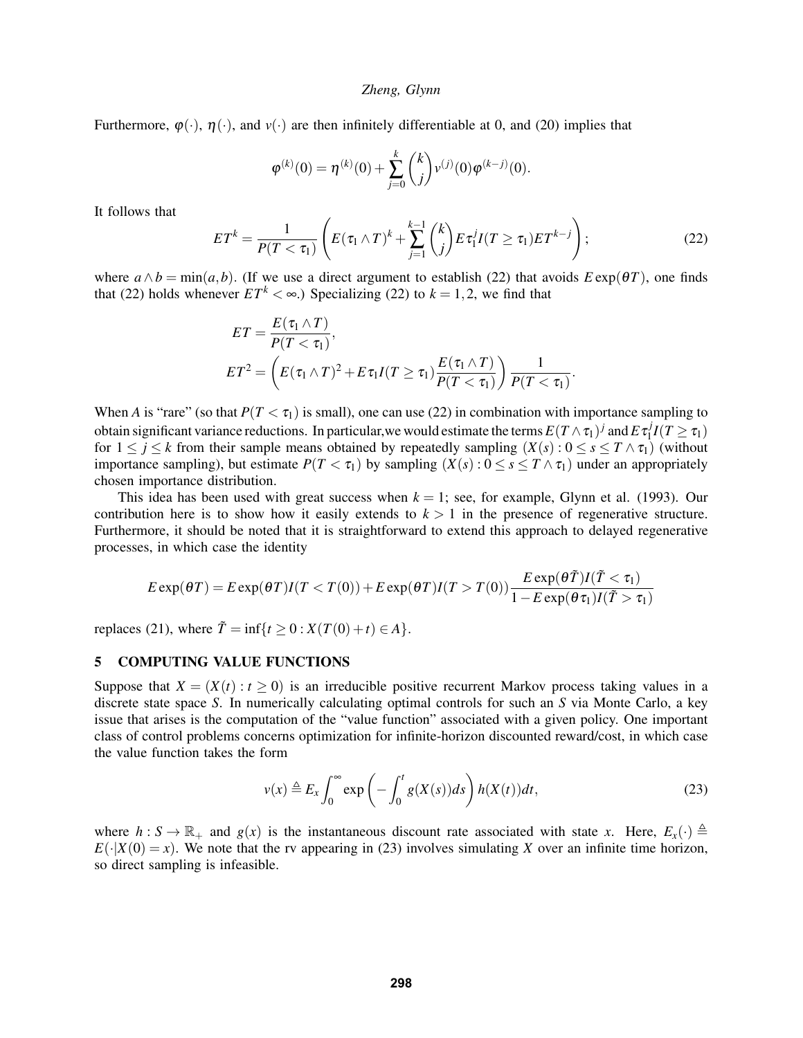Furthermore,  $\varphi(\cdot)$ ,  $\eta(\cdot)$ , and  $\upsilon(\cdot)$  are then infinitely differentiable at 0, and (20) implies that

$$
\varphi^{(k)}(0) = \eta^{(k)}(0) + \sum_{j=0}^k {k \choose j} v^{(j)}(0) \varphi^{(k-j)}(0).
$$

It follows that

$$
ET^{k} = \frac{1}{P(T < \tau_{1})} \left( E(\tau_{1} \wedge T)^{k} + \sum_{j=1}^{k-1} {k \choose j} E \tau_{1}^{j} I(T \geq \tau_{1}) E T^{k-j} \right);
$$
 (22)

where  $a \wedge b = \min(a, b)$ . (If we use a direct argument to establish (22) that avoids  $E \exp(\theta T)$ , one finds that (22) holds whenever  $ET^k < \infty$ .) Specializing (22) to  $k = 1, 2$ , we find that

$$
ET = \frac{E(\tau_1 \wedge T)}{P(T < \tau_1)},
$$
  
\n
$$
ET^2 = \left( E(\tau_1 \wedge T)^2 + E \tau_1 I(T \ge \tau_1) \frac{E(\tau_1 \wedge T)}{P(T < \tau_1)} \right) \frac{1}{P(T < \tau_1)}.
$$

When *A* is "rare" (so that  $P(T < \tau_1)$  is small), one can use (22) in combination with importance sampling to obtain significant variance reductions. In particular,we would estimate the terms  $E(T\wedge \tau_1)^j$  and  $E\tau_1^j$  $\frac{J}{1}I(T\geq \tau_1)$ for  $1 \leq j \leq k$  from their sample means obtained by repeatedly sampling  $(X(s): 0 \leq s \leq T \wedge \tau_1)$  (without importance sampling), but estimate  $P(T < \tau_1)$  by sampling  $(X(s): 0 \le s \le T \wedge \tau_1)$  under an appropriately chosen importance distribution.

This idea has been used with great success when  $k = 1$ ; see, for example, Glynn et al. (1993). Our contribution here is to show how it easily extends to  $k > 1$  in the presence of regenerative structure. Furthermore, it should be noted that it is straightforward to extend this approach to delayed regenerative processes, in which case the identity

$$
E \exp(\theta T) = E \exp(\theta T)I(T < T(0)) + E \exp(\theta T)I(T > T(0)) \frac{E \exp(\theta \tilde{T})I(\tilde{T} < \tau_1)}{1 - E \exp(\theta \tau_1)I(\tilde{T} > \tau_1)}
$$

replaces (21), where  $\tilde{T} = \inf\{t \ge 0 : X(T(0) + t) \in A\}.$ 

### 5 COMPUTING VALUE FUNCTIONS

Suppose that  $X = (X(t): t > 0)$  is an irreducible positive recurrent Markov process taking values in a discrete state space *S*. In numerically calculating optimal controls for such an *S* via Monte Carlo, a key issue that arises is the computation of the "value function" associated with a given policy. One important class of control problems concerns optimization for infinite-horizon discounted reward/cost, in which case the value function takes the form

$$
v(x) \triangleq E_x \int_0^\infty \exp\left(-\int_0^t g(X(s))ds\right) h(X(t))dt,
$$
\n(23)

where  $h: S \to \mathbb{R}_+$  and  $g(x)$  is the instantaneous discount rate associated with state *x*. Here,  $E_x(\cdot) \triangleq$  $E(\cdot|X(0) = x)$ . We note that the rv appearing in (23) involves simulating *X* over an infinite time horizon, so direct sampling is infeasible.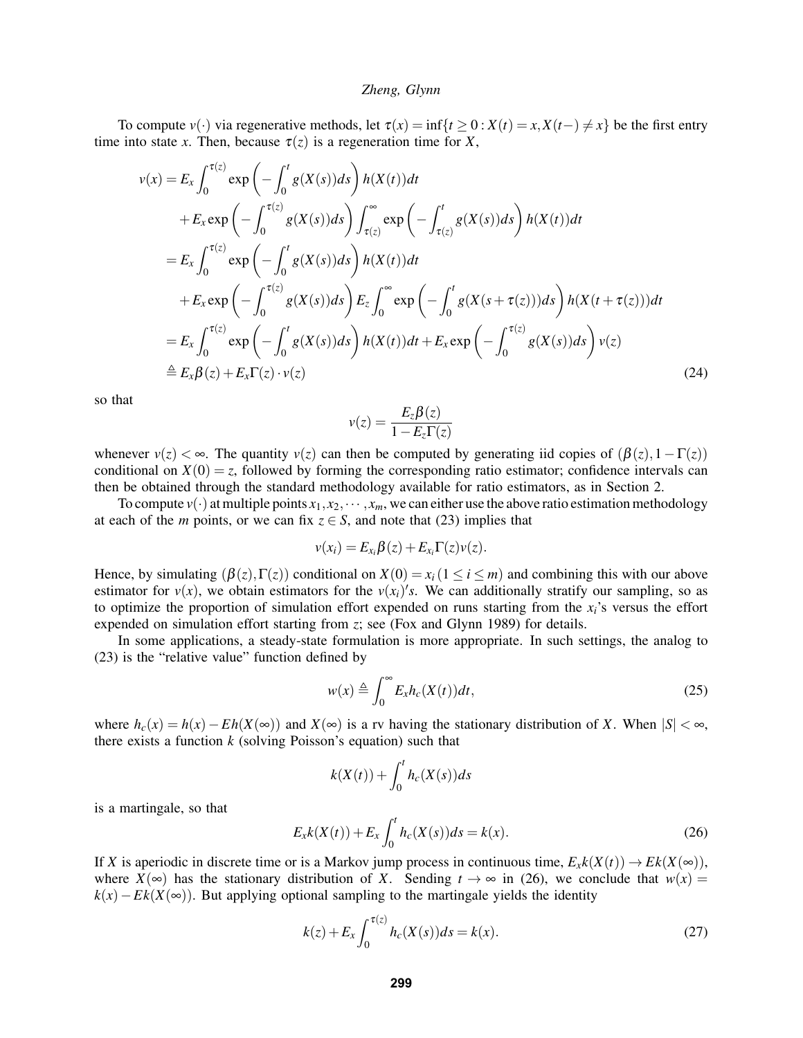To compute  $v(\cdot)$  via regenerative methods, let  $\tau(x) = \inf\{t \ge 0 : X(t) = x, X(t-) \ne x\}$  be the first entry time into state *x*. Then, because  $\tau(z)$  is a regeneration time for *X*,

$$
v(x) = E_x \int_0^{\tau(z)} \exp\left(-\int_0^t g(X(s))ds\right) h(X(t))dt
$$
  
+  $E_x \exp\left(-\int_0^{\tau(z)} g(X(s))ds\right) \int_{\tau(z)}^{\infty} \exp\left(-\int_{\tau(z)}^t g(X(s))ds\right) h(X(t))dt$   
=  $E_x \int_0^{\tau(z)} \exp\left(-\int_0^t g(X(s))ds\right) h(X(t))dt$   
+  $E_x \exp\left(-\int_0^{\tau(z)} g(X(s))ds\right) E_z \int_0^{\infty} \exp\left(-\int_0^t g(X(s+\tau(z)))ds\right) h(X(t+\tau(z)))dt$   
=  $E_x \int_0^{\tau(z)} \exp\left(-\int_0^t g(X(s))ds\right) h(X(t))dt + E_x \exp\left(-\int_0^{\tau(z)} g(X(s))ds\right) v(z)$   
 $\triangleq E_x \beta(z) + E_x \Gamma(z) \cdot v(z)$  (24)

so that

$$
v(z) = \frac{E_z \beta(z)}{1 - E_z \Gamma(z)}
$$

whenever  $v(z) < \infty$ . The quantity  $v(z)$  can then be computed by generating iid copies of  $(\beta(z), 1 - \Gamma(z))$ conditional on  $X(0) = z$ , followed by forming the corresponding ratio estimator; confidence intervals can then be obtained through the standard methodology available for ratio estimators, as in Section 2.

To compute  $v(\cdot)$  at multiple points  $x_1, x_2, \dots, x_m$ , we can either use the above ratio estimation methodology at each of the *m* points, or we can fix  $z \in S$ , and note that (23) implies that

$$
v(x_i) = E_{x_i} \beta(z) + E_{x_i} \Gamma(z) v(z).
$$

Hence, by simulating  $(\beta(z), \Gamma(z))$  conditional on  $X(0) = x_i (1 \le i \le m)$  and combining this with our above estimator for  $v(x)$ , we obtain estimators for the  $v(x_i)'s$ . We can additionally stratify our sampling, so as to optimize the proportion of simulation effort expended on runs starting from the  $x_i$ 's versus the effort expended on simulation effort starting from *z*; see (Fox and Glynn 1989) for details.

In some applications, a steady-state formulation is more appropriate. In such settings, the analog to (23) is the "relative value" function defined by

$$
w(x) \triangleq \int_0^\infty E_x h_c(X(t)) dt,
$$
\n(25)

where  $h_c(x) = h(x) - Eh(X(\infty))$  and  $X(\infty)$  is a rv having the stationary distribution of *X*. When  $|S| < \infty$ , there exists a function *k* (solving Poisson's equation) such that

$$
k(X(t)) + \int_0^t h_c(X(s))ds
$$

is a martingale, so that

$$
E_x k(X(t)) + E_x \int_0^t h_c(X(s)) ds = k(x).
$$
 (26)

If *X* is aperiodic in discrete time or is a Markov jump process in continuous time,  $E_x k(X(t)) \to E k(X(\infty))$ , where  $X(\infty)$  has the stationary distribution of *X*. Sending  $t \to \infty$  in (26), we conclude that  $w(x) =$  $k(x) - Ek(X(\infty))$ . But applying optional sampling to the martingale yields the identity

$$
k(z) + E_x \int_0^{\tau(z)} h_c(X(s)) ds = k(x).
$$
 (27)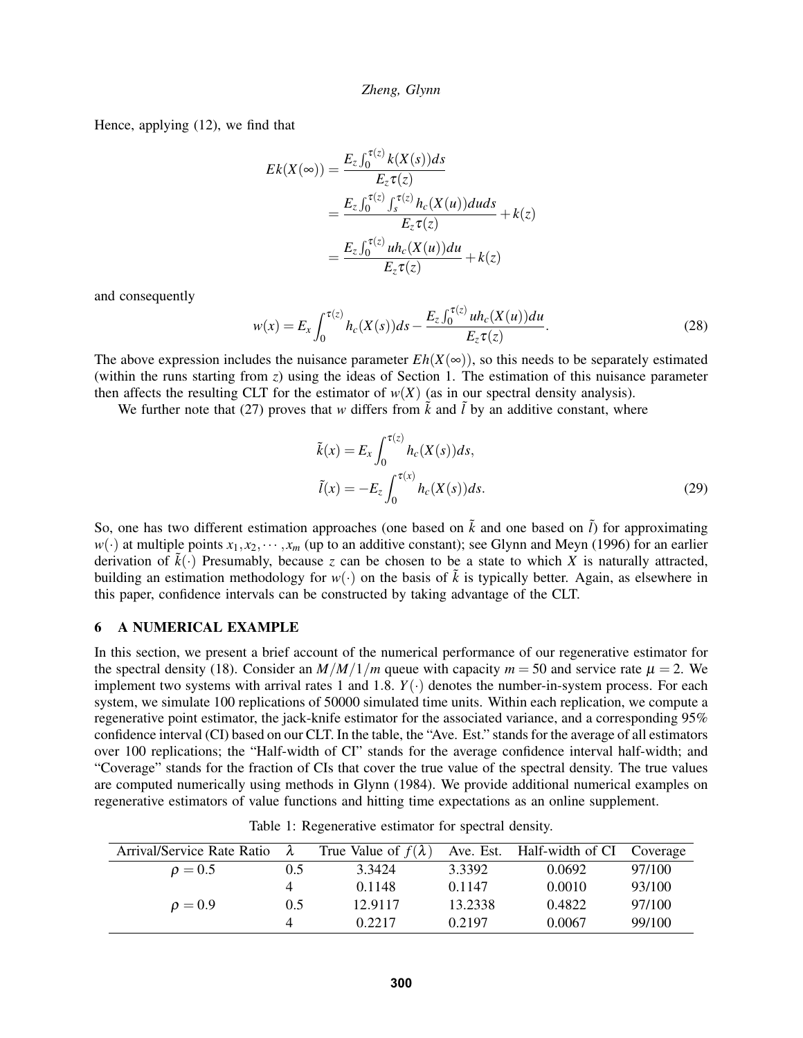Hence, applying (12), we find that

$$
Ek(X(\infty)) = \frac{E_z \int_0^{\tau(z)} k(X(s))ds}{E_z \tau(z)}
$$
  
= 
$$
\frac{E_z \int_0^{\tau(z)} \int_s^{\tau(z)} h_c(X(u))duds}{E_z \tau(z)} + k(z)
$$
  
= 
$$
\frac{E_z \int_0^{\tau(z)} uh_c(X(u))du}{E_z \tau(z)} + k(z)
$$

and consequently

$$
w(x) = E_x \int_0^{\tau(z)} h_c(X(s)) ds - \frac{E_z \int_0^{\tau(z)} uh_c(X(u)) du}{E_z \tau(z)}.
$$
 (28)

The above expression includes the nuisance parameter  $Eh(X(\infty))$ , so this needs to be separately estimated (within the runs starting from *z*) using the ideas of Section 1. The estimation of this nuisance parameter then affects the resulting CLT for the estimator of  $w(X)$  (as in our spectral density analysis).

We further note that (27) proves that *w* differs from  $\tilde{k}$  and  $\tilde{l}$  by an additive constant, where

$$
\tilde{k}(x) = E_x \int_0^{\tau(z)} h_c(X(s))ds,
$$
  
\n
$$
\tilde{l}(x) = -E_z \int_0^{\tau(x)} h_c(X(s))ds.
$$
\n(29)

So, one has two different estimation approaches (one based on  $\tilde{k}$  and one based on  $\tilde{l}$ ) for approximating  $w(\cdot)$  at multiple points  $x_1, x_2, \dots, x_m$  (up to an additive constant); see Glynn and Meyn (1996) for an earlier derivation of  $\tilde{k}(\cdot)$  Presumably, because *z* can be chosen to be a state to which *X* is naturally attracted, building an estimation methodology for  $w(\cdot)$  on the basis of  $\tilde{k}$  is typically better. Again, as elsewhere in this paper, confidence intervals can be constructed by taking advantage of the CLT.

# 6 A NUMERICAL EXAMPLE

In this section, we present a brief account of the numerical performance of our regenerative estimator for the spectral density (18). Consider an  $M/M/1/m$  queue with capacity  $m = 50$  and service rate  $\mu = 2$ . We implement two systems with arrival rates 1 and 1.8. *Y*(·) denotes the number-in-system process. For each system, we simulate 100 replications of 50000 simulated time units. Within each replication, we compute a regenerative point estimator, the jack-knife estimator for the associated variance, and a corresponding 95% confidence interval (CI) based on our CLT. In the table, the "Ave. Est." stands for the average of all estimators over 100 replications; the "Half-width of CI" stands for the average confidence interval half-width; and "Coverage" stands for the fraction of CIs that cover the true value of the spectral density. The true values are computed numerically using methods in Glynn (1984). We provide additional numerical examples on regenerative estimators of value functions and hitting time expectations as an online supplement.

| Arrival/Service Rate Ratio | $\lambda$ | True Value of $f(\lambda)$ |         | Ave. Est. Half-width of CI | Coverage |
|----------------------------|-----------|----------------------------|---------|----------------------------|----------|
| $\rho = 0.5$               | 0.5       | 3.3424                     | 3.3392  | 0.0692                     | 97/100   |
|                            |           | 0.1148                     | 0.1147  | 0.0010                     | 93/100   |
| $\rho = 0.9$               | 0.5       | 12.9117                    | 13.2338 | 0.4822                     | 97/100   |
|                            |           | 0.2217                     | 0.2197  | 0.0067                     | 99/100   |

Table 1: Regenerative estimator for spectral density.